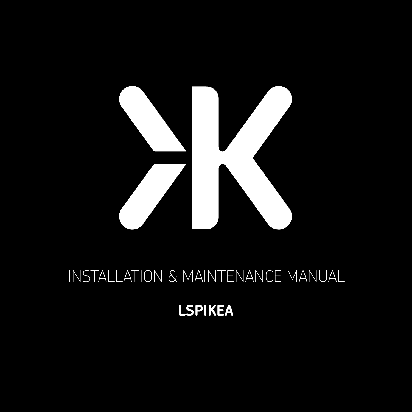

# INSTALLATION & MAINTENANCE MANUAL

**LSPIKEA**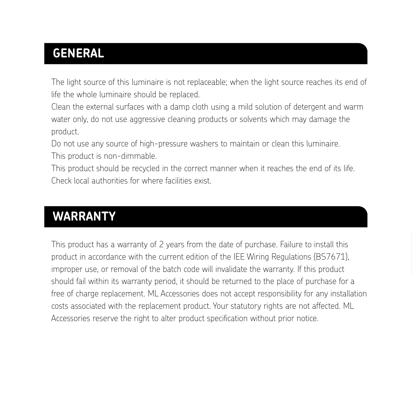### **GENERAL**

The light source of this luminaire is not replaceable; when the light source reaches its end of life the whole luminaire should be replaced.

Clean the external surfaces with a damp cloth using a mild solution of detergent and warm water only, do not use aggressive cleaning products or solvents which may damage the product.

Do not use any source of high-pressure washers to maintain or clean this luminaire. This product is non-dimmable.

This product should be recycled in the correct manner when it reaches the end of its life. Check local authorities for where facilities exist.

#### **WARRANTY**

This product has a warranty of 2 years from the date of purchase. Failure to install this product in accordance with the current edition of the IEE Wiring Regulations (BS7671), improper use, or removal of the batch code will invalidate the warranty. If this product should fail within its warranty period, it should be returned to the place of purchase for a free of charge replacement. ML Accessories does not accept responsibility for any installation costs associated with the replacement product. Your statutory rights are not affected. ML Accessories reserve the right to alter product specification without prior notice.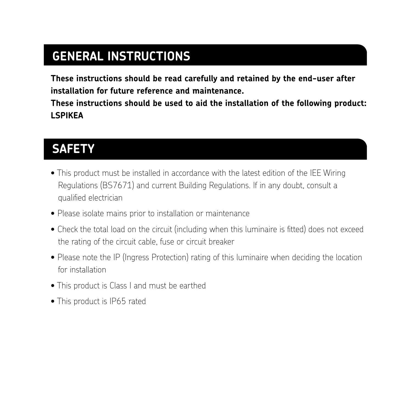## **GENERAL INSTRUCTIONS**

**These instructions should be read carefully and retained by the end-user after installation for future reference and maintenance.**

**These instructions should be used to aid the installation of the following product: LSPIKEA**

#### **SAFETY**

- This product must be installed in accordance with the latest edition of the IEE Wiring Regulations (BS7671) and current Building Regulations. If in any doubt, consult a qualified electrician
- Please isolate mains prior to installation or maintenance
- Check the total load on the circuit (including when this luminaire is fitted) does not exceed the rating of the circuit cable, fuse or circuit breaker
- Please note the IP (Ingress Protection) rating of this luminaire when deciding the location for installation
- This product is Class I and must be earthed
- This product is IP65 rated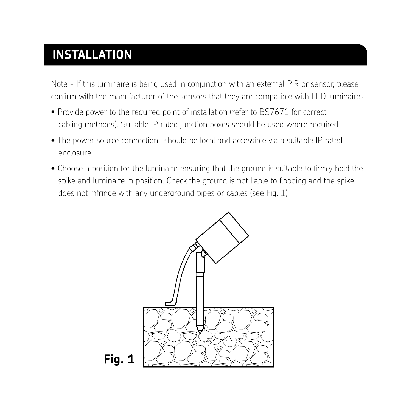## **INSTALLATION**

Note - If this luminaire is being used in conjunction with an external PIR or sensor, please confirm with the manufacturer of the sensors that they are compatible with LED luminaires

- Provide power to the required point of installation (refer to BS7671 for correct cabling methods). Suitable IP rated junction boxes should be used where required
- The power source connections should be local and accessible via a suitable IP rated enclosure
- Choose a position for the luminaire ensuring that the ground is suitable to firmly hold the spike and luminaire in position. Check the ground is not liable to flooding and the spike does not infringe with any underground pipes or cables (see Fig. 1)

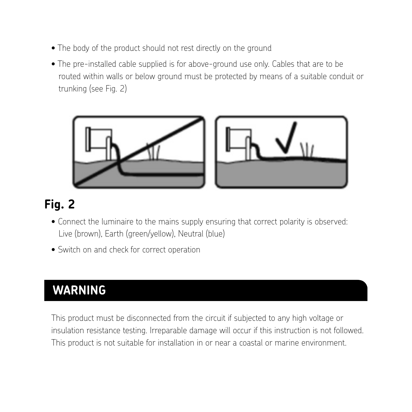- The body of the product should not rest directly on the ground
- The pre-installed cable supplied is for above-ground use only. Cables that are to be routed within walls or below ground must be protected by means of a suitable conduit or trunking (see Fig. 2)



# **Fig. 2**

- Connect the luminaire to the mains supply ensuring that correct polarity is observed: Live (brown), Earth (green/yellow), Neutral (blue)
- Switch on and check for correct operation • Switch on and check for correct operation

#### **WARNING**

This luminaire must be disconnected from the circuit if subjected to any high voltage or insulation resistance This product must be disconnected from the circuit if subjected to any high voltage or insulation resistance testing. Irreparable damage will occur if this instruction is not followed. This product is not suitable for installation in or near a coastal or marine environment.